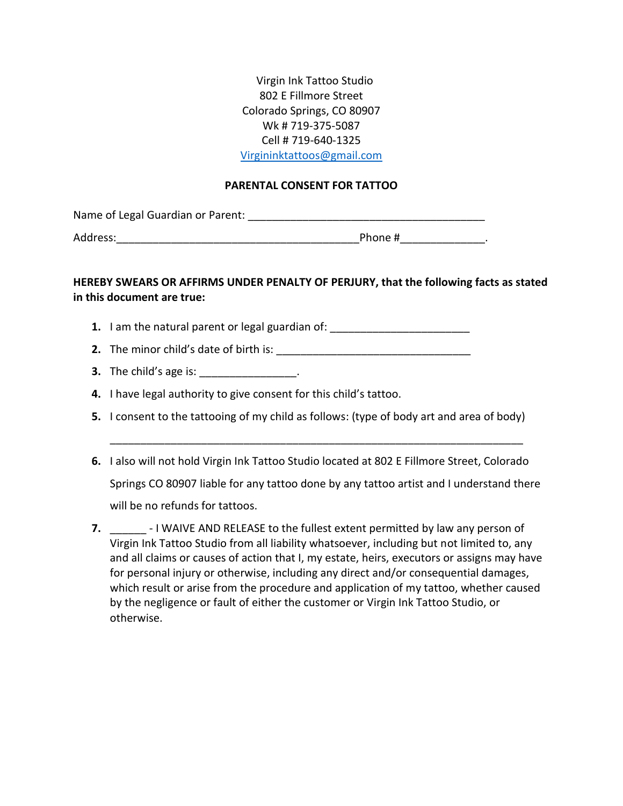Virgin Ink Tattoo Studio 802 E Fillmore Street Colorado Springs, CO 80907 Wk # 719-375-5087 Cell # 719-640-1325 [Virgininktattoos@gmail.com](mailto:Virgininktattoos@gmail.com)

## **PARENTAL CONSENT FOR TATTOO**

Name of Legal Guardian or Parent: \_\_\_\_\_\_\_\_\_\_\_\_\_\_\_\_\_\_\_\_\_\_\_\_\_\_\_\_\_\_\_\_\_\_\_\_\_\_\_

Address:\_\_\_\_\_\_\_\_\_\_\_\_\_\_\_\_\_\_\_\_\_\_\_\_\_\_\_\_\_\_\_\_\_\_\_\_\_\_\_\_Phone #\_\_\_\_\_\_\_\_\_\_\_\_\_\_.

## **HEREBY SWEARS OR AFFIRMS UNDER PENALTY OF PERJURY, that the following facts as stated in this document are true:**

- **1.** I am the natural parent or legal guardian of: \_\_\_\_\_\_\_\_\_\_\_\_\_\_\_\_\_\_\_\_\_\_\_\_\_\_\_\_\_\_
- **2.** The minor child's date of birth is: \_\_\_\_\_\_\_\_\_\_\_\_\_\_\_\_\_\_\_\_\_\_\_\_\_\_\_\_\_\_\_\_
- **3.** The child's age is:  $\qquad \qquad$
- **4.** I have legal authority to give consent for this child's tattoo.
- **5.** I consent to the tattooing of my child as follows: (type of body art and area of body)
- **6.** I also will not hold Virgin Ink Tattoo Studio located at 802 E Fillmore Street, Colorado Springs CO 80907 liable for any tattoo done by any tattoo artist and I understand there will be no refunds for tattoos.

\_\_\_\_\_\_\_\_\_\_\_\_\_\_\_\_\_\_\_\_\_\_\_\_\_\_\_\_\_\_\_\_\_\_\_\_\_\_\_\_\_\_\_\_\_\_\_\_\_\_\_\_\_\_\_\_\_\_\_\_\_\_\_\_\_\_\_\_

**7. 1** - I WAIVE AND RELEASE to the fullest extent permitted by law any person of Virgin Ink Tattoo Studio from all liability whatsoever, including but not limited to, any and all claims or causes of action that I, my estate, heirs, executors or assigns may have for personal injury or otherwise, including any direct and/or consequential damages, which result or arise from the procedure and application of my tattoo, whether caused by the negligence or fault of either the customer or Virgin Ink Tattoo Studio, or otherwise.